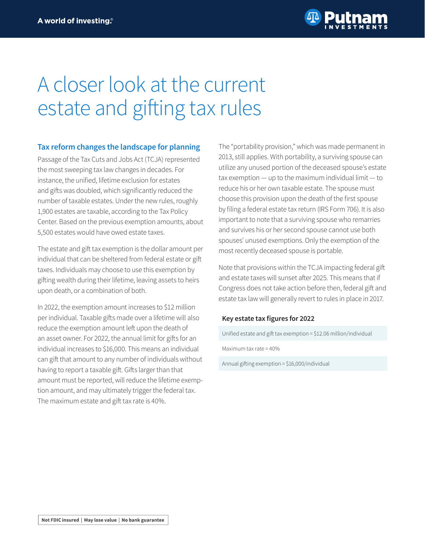

# A closer look at the current estate and gifting tax rules

# **Tax reform changes the landscape for planning**

Passage of the Tax Cuts and Jobs Act (TCJA) represented the most sweeping tax law changes in decades. For instance, the unified, lifetime exclusion for estates and gifts was doubled, which significantly reduced the number of taxable estates. Under the new rules, roughly 1,900 estates are taxable, according to the Tax Policy Center. Based on the previous exemption amounts, about 5,500 estates would have owed estate taxes.

The estate and gift tax exemption is the dollar amount per individual that can be sheltered from federal estate or gift taxes. Individuals may choose to use this exemption by gifting wealth during their lifetime, leaving assets to heirs upon death, or a combination of both.

In 2022, the exemption amount increases to \$12 million per individual. Taxable gifts made over a lifetime will also reduce the exemption amount left upon the death of an asset owner. For 2022, the annual limit for gifts for an individual increases to \$16,000. This means an individual can gift that amount to any number of individuals without having to report a taxable gift. Gifts larger than that amount must be reported, will reduce the lifetime exemption amount, and may ultimately trigger the federal tax. The maximum estate and gift tax rate is 40%.

The "portability provision," which was made permanent in 2013, still applies. With portability, a surviving spouse can utilize any unused portion of the deceased spouse's estate tax exemption — up to the maximum individual limit — to reduce his or her own taxable estate. The spouse must choose this provision upon the death of the first spouse by filing a federal estate tax return (IRS Form 706). It is also important to note that a surviving spouse who remarries and survives his or her second spouse cannot use both spouses' unused exemptions. Only the exemption of the most recently deceased spouse is portable.

Note that provisions within the TCJA impacting federal gift and estate taxes will sunset after 2025. This means that if Congress does not take action before then, federal gift and estate tax law will generally revert to rules in place in 2017.

### **Key estate tax figures for 2022**

Unified estate and gift tax exemption = \$12.06 million/individual

Maximum tax rate = 40%

Annual gifting exemption = \$16,000/individual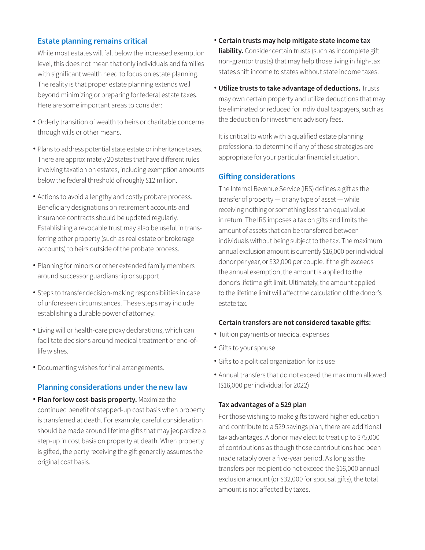# **Estate planning remains critical**

While most estates will fall below the increased exemption level, this does not mean that only individuals and families with significant wealth need to focus on estate planning. The reality is that proper estate planning extends well beyond minimizing or preparing for federal estate taxes. Here are some important areas to consider:

- Orderly transition of wealth to heirs or charitable concerns through wills or other means.
- Plans to address potential state estate or inheritance taxes. There are approximately 20 states that have different rules involving taxation on estates, including exemption amounts below the federal threshold of roughly \$12 million.
- Actions to avoid a lengthy and costly probate process. Beneficiary designations on retirement accounts and insurance contracts should be updated regularly. Establishing a revocable trust may also be useful in transferring other property (such as real estate or brokerage accounts) to heirs outside of the probate process.
- Planning for minors or other extended family members around successor guardianship or support.
- Steps to transfer decision-making responsibilities in case of unforeseen circumstances. These steps may include establishing a durable power of attorney.
- Living will or health-care proxy declarations, which can facilitate decisions around medical treatment or end-oflife wishes.
- Documenting wishes for final arrangements. •

# **Planning considerations under the new law**

**• Plan for low cost-basis property.** Maximize the continued benefit of stepped-up cost basis when property is transferred at death. For example, careful consideration should be made around lifetime gifts that may jeopardize a step-up in cost basis on property at death. When property is gifted, the party receiving the gift generally assumes the original cost basis.

- **Certain trusts may help mitigate state income tax liability.** Consider certain trusts (such as incomplete gift non-grantor trusts) that may help those living in high-tax states shift income to states without state income taxes.
- **Utilize trusts to take advantage of deductions.** Trusts may own certain property and utilize deductions that may be eliminated or reduced for individual taxpayers, such as the deduction for investment advisory fees.

It is critical to work with a qualified estate planning professional to determine if any of these strategies are appropriate for your particular financial situation.

# **Gifting considerations**

The Internal Revenue Service (IRS) defines a gift as the transfer of property — or any type of asset — while receiving nothing or something less than equal value in return. The IRS imposes a tax on gifts and limits the amount of assets that can be transferred between individuals without being subject to the tax. The maximum annual exclusion amount is currently \$16,000 per individual donor per year, or \$32,000 per couple. If the gift exceeds the annual exemption, the amount is applied to the donor's lifetime gift limit. Ultimately, the amount applied to the lifetime limit will affect the calculation of the donor's estate tax.

#### **Certain transfers are not considered taxable gifts:**

- Tuition payments or medical expenses •
- Gifts to your spouse •
- Gifts to a political organization for its use •
- Annual transfers that do not exceed the maximum allowed (\$16,000 per individual for 2022)

#### **Tax advantages of a 529 plan**

For those wishing to make gifts toward higher education and contribute to a 529 savings plan, there are additional tax advantages. A donor may elect to treat up to \$75,000 of contributions as though those contributions had been made ratably over a five-year period. As long as the transfers per recipient do not exceed the \$16,000 annual exclusion amount (or \$32,000 for spousal gifts), the total amount is not affected by taxes.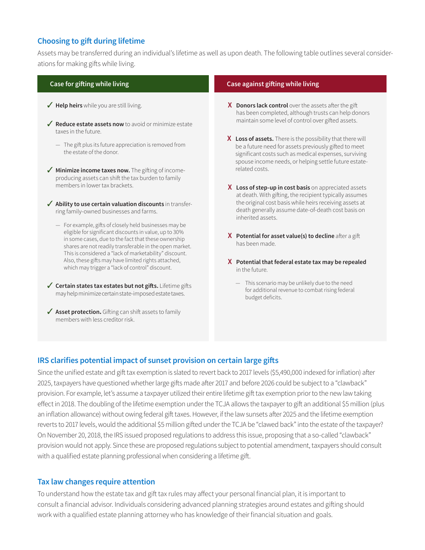# **Choosing to gift during lifetime**

Assets may be transferred during an individual's lifetime as well as upon death. The following table outlines several considerations for making gifts while living.

- ◆ Help heirs while you are still living.
- ◆ **Reduce estate assets now** to avoid or minimize estate taxes in the future.
	- The gift plus its future appreciation is removed from the estate of the donor.
- ◆ **Minimize income taxes now.** The gifting of incomeproducing assets can shift the tax burden to family members in lower tax brackets.
- $\checkmark$  Ability to use certain valuation discounts in transferring family-owned businesses and farms.
	- For example, gifts of closely held businesses may be eligible for significant discounts in value, up to 30% in some cases, due to the fact that these ownership shares are not readily transferable in the open market. This is considered a "lack of marketability" discount. Also, these gifts may have limited rights attached, which may trigger a "lack of control" discount.
- ◆ Certain states tax estates but not gifts. Lifetime gifts may help minimize certain state-imposed estate taxes.
- ◆ Asset protection. Gifting can shift assets to family members with less creditor risk.

#### **Case for gifting while living Case against gifting while living**

- **X Donors lack control** over the assets after the gift has been completed, although trusts can help donors maintain some level of control over gifted assets.
- **X Loss of assets.** There is the possibility that there will be a future need for assets previously gifted to meet significant costs such as medical expenses, surviving spouse income needs, or helping settle future estaterelated costs.
- **X Loss of step-up in cost basis** on appreciated assets at death. With gifting, the recipient typically assumes the original cost basis while heirs receiving assets at death generally assume date-of-death cost basis on inherited assets.
- **X Potential for asset value(s) to decline** after a gift has been made.
- **X Potential that federal estate tax may be repealed**  in the future.
	- This scenario may be unlikely due to the need for additional revenue to combat rising federal budget deficits.

# **IRS clarifies potential impact of sunset provision on certain large gifts**

Since the unified estate and gift tax exemption is slated to revert back to 2017 levels (\$5,490,000 indexed for inflation) after 2025, taxpayers have questioned whether large gifts made after 2017 and before 2026 could be subject to a "clawback" provision. For example, let's assume a taxpayer utilized their entire lifetime gift tax exemption prior to the new law taking effect in 2018. The doubling of the lifetime exemption under the TCJA allows the taxpayer to gift an additional \$5 million (plus an inflation allowance) without owing federal gift taxes. However, if the law sunsets after 2025 and the lifetime exemption reverts to 2017 levels, would the additional \$5 million gifted under the TCJA be "clawed back" into the estate of the taxpayer? On November 20, 2018, the IRS issued proposed regulations to address this issue, proposing that a so-called "clawback" provision would not apply. Since these are proposed regulations subject to potential amendment, taxpayers should consult with a qualified estate planning professional when considering a lifetime gift.

# **Tax law changes require attention**

To understand how the estate tax and gift tax rules may affect your personal financial plan, it is important to consult a financial advisor. Individuals considering advanced planning strategies around estates and gifting should work with a qualified estate planning attorney who has knowledge of their financial situation and goals.